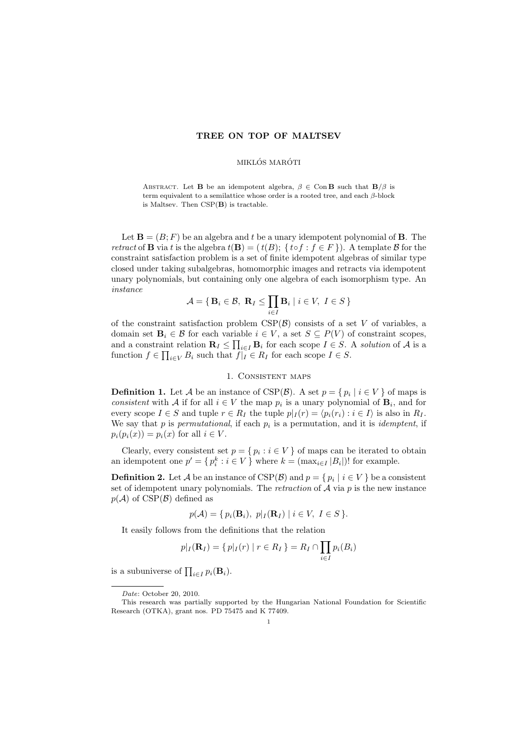## TREE ON TOP OF MALTSEV

## MIKLÓS MARÓTI

ABSTRACT. Let **B** be an idempotent algebra,  $\beta \in \text{Con } \mathbf{B}$  such that  $\mathbf{B}/\beta$  is term equivalent to a semilattice whose order is a rooted tree, and each  $\beta$ -block is Maltsev. Then CSP(B) is tractable.

Let  $\mathbf{B} = (B; F)$  be an algebra and t be a unary idempotent polynomial of **B**. The retract of **B** via t is the algebra  $t(\mathbf{B}) = (t(B); \{ to f : f \in F \})$ . A template B for the constraint satisfaction problem is a set of finite idempotent algebras of similar type closed under taking subalgebras, homomorphic images and retracts via idempotent unary polynomials, but containing only one algebra of each isomorphism type. An instance

$$
\mathcal{A} = \{ \mathbf{B}_i \in \mathcal{B}, \ \mathbf{R}_I \le \prod_{i \in I} \mathbf{B}_i \mid i \in V, \ I \in S \}
$$

of the constraint satisfaction problem  $CSP(B)$  consists of a set V of variables, a domain set  $\mathbf{B}_i \in \mathcal{B}$  for each variable  $i \in V$ , a set  $S \subseteq P(V)$  of constraint scopes, and a constraint relation  $\mathbf{R}_I \leq \prod_{i \in I} \mathbf{B}_i$  for each scope  $I \in S$ . A solution of A is a function  $f \in \prod_{i \in V} B_i$  such that  $f|_I \in R_I$  for each scope  $I \in S$ .

## 1. Consistent maps

**Definition 1.** Let A be an instance of CSP( $\mathcal{B}$ ). A set  $p = \{p_i \mid i \in V\}$  of maps is consistent with A if for all  $i \in V$  the map  $p_i$  is a unary polynomial of  $\mathbf{B}_i$ , and for every scope  $I \in S$  and tuple  $r \in R_I$  the tuple  $p|_I(r) = \langle p_i(r_i) : i \in I \rangle$  is also in  $R_I$ . We say that  $p$  is permutational, if each  $p_i$  is a permutation, and it is *idemptent*, if  $p_i(p_i(x)) = p_i(x)$  for all  $i \in V$ .

Clearly, every consistent set  $p = \{p_i : i \in V\}$  of maps can be iterated to obtain an idempotent one  $p' = \{p_i^k : i \in V\}$  where  $k = (\max_{i \in I} |B_i|)!$  for example.

**Definition 2.** Let  $\mathcal A$  be an instance of  $CSP(\mathcal B)$  and  $p = \{p_i \mid i \in V\}$  be a consistent set of idempotent unary polynomials. The *retraction* of  $A$  via  $p$  is the new instance  $p(\mathcal{A})$  of CSP( $\mathcal{B}$ ) defined as

$$
p(\mathcal{A}) = \{ p_i(\mathbf{B}_i), p | I(\mathbf{R}_I) | i \in V, I \in S \}.
$$

It easily follows from the definitions that the relation

$$
p|_I(\mathbf{R}_I) = \{ p|_I(r) | r \in R_I \} = R_I \cap \prod_{i \in I} p_i(B_i)
$$

is a subuniverse of  $\prod_{i \in I} p_i(\mathbf{B}_i)$ .

Date: October 20, 2010.

This research was partially supported by the Hungarian National Foundation for Scientific Research (OTKA), grant nos. PD 75475 and K 77409.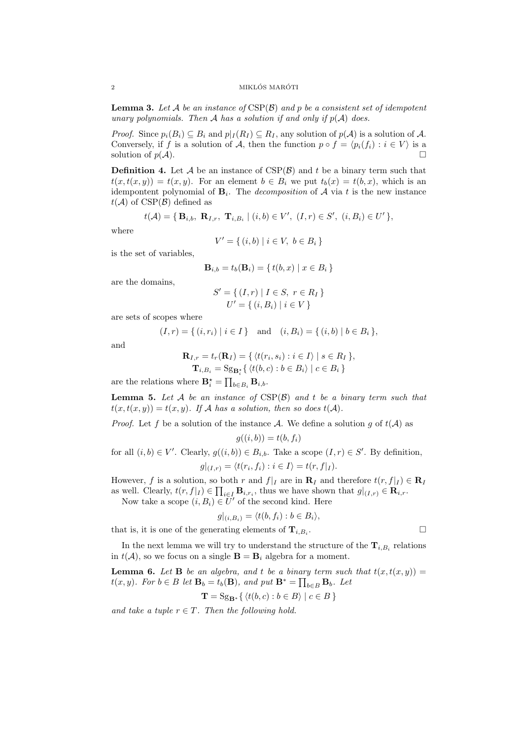**Lemma 3.** Let A be an instance of  $CSP(\mathcal{B})$  and p be a consistent set of idempotent unary polynomials. Then A has a solution if and only if  $p(A)$  does.

*Proof.* Since  $p_i(B_i) \subseteq B_i$  and  $p|_I(R_I) \subseteq R_I$ , any solution of  $p(A)$  is a solution of A. Conversely, if f is a solution of A, then the function  $p \circ f = \langle p_i(f_i) : i \in V \rangle$  is a solution of  $p(\mathcal{A})$ .

**Definition 4.** Let  $A$  be an instance of  $CSP(B)$  and t be a binary term such that  $t(x, t(x, y)) = t(x, y)$ . For an element  $b \in B_i$  we put  $t_b(x) = t(b, x)$ , which is an idempontent polynomial of  $B_i$ . The *decomposition* of A via t is the new instance  $t(\mathcal{A})$  of CSP( $\mathcal{B}$ ) defined as

$$
t(\mathcal{A}) = \{ \mathbf{B}_{i,b}, \ \mathbf{R}_{I,r}, \ \mathbf{T}_{i,B_i} \mid (i,b) \in V', \ (I,r) \in S', \ (i,B_i) \in U' \},\
$$

where

$$
V' = \{ (i, b) \mid i \in V, \ b \in B_i \}
$$

is the set of variables,

$$
\mathbf{B}_{i,b} = t_b(\mathbf{B}_i) = \{ t(b, x) \mid x \in B_i \}
$$

are the domains,

$$
S' = \{ (I, r) | I \in S, r \in R_I \}
$$
  

$$
U' = \{ (i, B_i) | i \in V \}
$$

are sets of scopes where

$$
(I, r) = \{ (i, r_i) | i \in I \}
$$
 and  $(i, B_i) = \{ (i, b) | b \in B_i \}$ ,

and

$$
\mathbf{R}_{I,r} = t_r(\mathbf{R}_I) = \{ \langle t(r_i, s_i) : i \in I \rangle \mid s \in R_I \},
$$
  
\n
$$
\mathbf{T}_{i,B_i} = \mathrm{Sg}_{\mathbf{B}_i^*} \{ \langle t(b,c) : b \in B_i \rangle \mid c \in B_i \}
$$

are the relations where  $\mathbf{B}_{i}^{\star} = \prod_{b \in B_{i}} \mathbf{B}_{i,b}$ .

**Lemma 5.** Let  $A$  be an instance of  $CSP(B)$  and t be a binary term such that  $t(x, t(x, y)) = t(x, y)$ . If A has a solution, then so does  $t(A)$ .

*Proof.* Let f be a solution of the instance A. We define a solution g of  $t(A)$  as

$$
g((i,b)) = t(b,f_i)
$$

for all  $(i, b) \in V'$ . Clearly,  $g((i, b)) \in B_{i,b}$ . Take a scope  $(I, r) \in S'$ . By definition,  $g|_{(I,r)} = \langle t(r_i, f_i) : i \in I \rangle = t(r, f|_I).$ 

However, f is a solution, so both r and  $f|_I$  are in  $\mathbf{R}_I$  and therefore  $t(r, f|_I) \in \mathbf{R}_I$ as well. Clearly,  $t(r, f|_I) \in \prod_{i \in I} \mathbf{B}_{i,r_i}$ , thus we have shown that  $g|_{(I,r)} \in \mathbf{R}_{i,r}$ . Now take a scope  $(i, B_i) \in U'$  of the second kind. Here

 $g|_{(i,B_i)} = \langle t(b, f_i) : b \in B_i \rangle,$ 

that is, it is one of the generating elements of  $\mathbf{T}_{i,B_i}$ .

In the next lemma we will try to understand the structure of the  $\mathbf{T}_{i,B_i}$  relations in  $t(A)$ , so we focus on a single  $\mathbf{B} = \mathbf{B}_i$  algebra for a moment.

**Lemma 6.** Let **B** be an algebra, and t be a binary term such that  $t(x,t(x,y))$  =  $t(x, y)$ . For  $b \in B$  let  $\mathbf{B}_b = t_b(\mathbf{B})$ , and put  $\mathbf{B}^* = \prod_{b \in B} \mathbf{B}_b$ . Let

$$
\mathbf{T} = \mathrm{Sg}_{\mathbf{B}^*} \{ \langle t(b, c) : b \in B \rangle \mid c \in B \}
$$

and take a tuple  $r \in T$ . Then the following hold.

.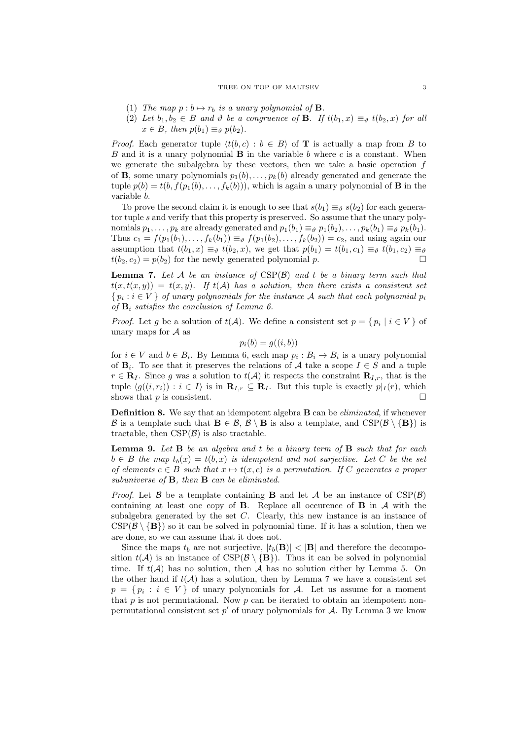- (1) The map  $p : b \mapsto r_b$  is a unary polynomial of **B**.
- (2) Let  $b_1, b_2 \in B$  and  $\vartheta$  be a congruence of **B**. If  $t(b_1, x) \equiv_{\vartheta} t(b_2, x)$  for all  $x \in B$ , then  $p(b_1) \equiv_{\vartheta} p(b_2)$ .

*Proof.* Each generator tuple  $\langle t(b, c) : b \in B \rangle$  of **T** is actually a map from B to B and it is a unary polynomial  $\bf{B}$  in the variable b where c is a constant. When we generate the subalgebra by these vectors, then we take a basic operation  $f$ of **B**, some unary polynomials  $p_1(b), \ldots, p_k(b)$  already generated and generate the tuple  $p(b) = t(b, f(p_1(b), \ldots, f_k(b)))$ , which is again a unary polynomial of **B** in the variable b.

To prove the second claim it is enough to see that  $s(b_1) \equiv_{\theta} s(b_2)$  for each generator tuple s and verify that this property is preserved. So assume that the unary polynomials  $p_1, \ldots, p_k$  are already generated and  $p_1(b_1) \equiv_{\vartheta} p_1(b_2), \ldots, p_k(b_1) \equiv_{\vartheta} p_k(b_1)$ . Thus  $c_1 = f(p_1(b_1),...,f_k(b_1)) \equiv_{\vartheta} f(p_1(b_2),...,f_k(b_2)) = c_2$ , and using again our assumption that  $t(b_1, x) \equiv_{\vartheta} t(b_2, x)$ , we get that  $p(b_1) = t(b_1, c_1) \equiv_{\vartheta} t(b_1, c_2) \equiv_{\vartheta}$  $t(b_2, c_2) = p(b_2)$  for the newly generated polynomial p.

**Lemma 7.** Let A be an instance of  $CSP(B)$  and t be a binary term such that  $t(x, t(x, y)) = t(x, y)$ . If  $t(A)$  has a solution, then there exists a consistent set  $\{p_i : i \in V\}$  of unary polynomials for the instance A such that each polynomial  $p_i$ of  $B_i$  satisfies the conclusion of Lemma 6.

*Proof.* Let g be a solution of  $t(A)$ . We define a consistent set  $p = \{p_i \mid i \in V\}$  of unary maps for  $A$  as

$$
p_i(b) = g((i, b))
$$

for  $i \in V$  and  $b \in B_i$ . By Lemma 6, each map  $p_i : B_i \to B_i$  is a unary polynomial of  $\mathbf{B}_i$ . To see that it preserves the relations of A take a scope  $I \in S$  and a tuple  $r \in \mathbf{R}_I$ . Since g was a solution to  $t(\mathcal{A})$  it respects the constraint  $\mathbf{R}_{I,r}$ , that is the tuple  $\langle g((i, r_i)) : i \in I \rangle$  is in  $\mathbf{R}_{I,r} \subseteq \mathbf{R}_I$ . But this tuple is exactly  $p|_I(r)$ , which shows that  $p$  is consistent.

**Definition 8.** We say that an idempotent algebra **B** can be *eliminated*, if whenever B is a template such that  $B \in \mathcal{B}, \mathcal{B} \setminus B$  is also a template, and  $CSP(\mathcal{B} \setminus \{B\})$  is tractable, then  $CSP(\mathcal{B})$  is also tractable.

**Lemma 9.** Let  $\bf{B}$  be an algebra and t be a binary term of  $\bf{B}$  such that for each  $b \in B$  the map  $t_b(x) = t(b, x)$  is idempotent and not surjective. Let C be the set of elements  $c \in B$  such that  $x \mapsto t(x, c)$  is a permutation. If C generates a proper subuniverse of  $\mathbf{B}$ , then  $\mathbf{B}$  can be eliminated.

*Proof.* Let  $\beta$  be a template containing **B** and let  $\mathcal{A}$  be an instance of CSP( $\beta$ ) containing at least one copy of **B**. Replace all occurence of **B** in  $\mathcal A$  with the subalgebra generated by the set  $C$ . Clearly, this new instance is an instance of  $CSP(\mathcal{B} \setminus \{B\})$  so it can be solved in polynomial time. If it has a solution, then we are done, so we can assume that it does not.

Since the maps  $t_b$  are not surjective,  $|t_b(\mathbf{B})| < |\mathbf{B}|$  and therefore the decomposition  $t(A)$  is an instance of  $CSP(B \setminus \{B\})$ . Thus it can be solved in polynomial time. If  $t(\mathcal{A})$  has no solution, then  $\mathcal A$  has no solution either by Lemma 5. On the other hand if  $t(\mathcal{A})$  has a solution, then by Lemma 7 we have a consistent set  $p = \{p_i : i \in V\}$  of unary polynomials for A. Let us assume for a moment that  $p$  is not permutational. Now  $p$  can be iterated to obtain an idempotent nonpermutational consistent set  $p'$  of unary polynomials for  $A$ . By Lemma 3 we know